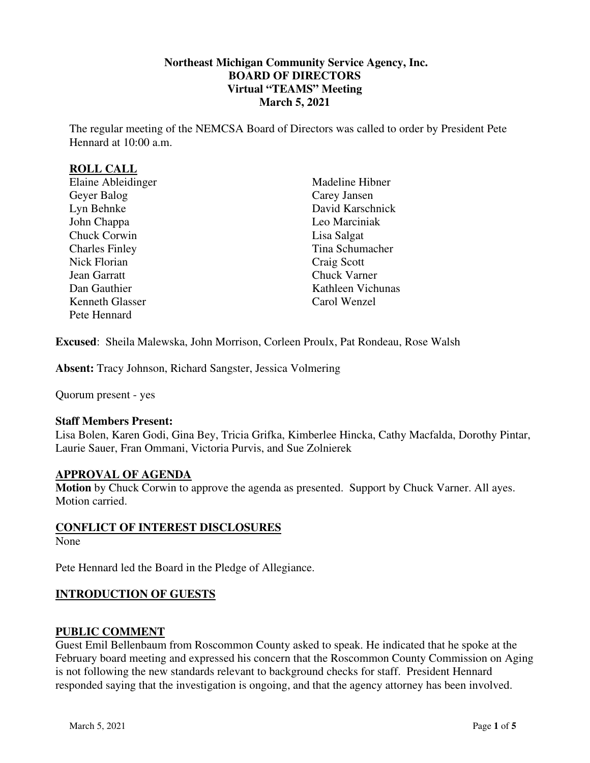## **Northeast Michigan Community Service Agency, Inc. BOARD OF DIRECTORS Virtual "TEAMS" Meeting March 5, 2021**

The regular meeting of the NEMCSA Board of Directors was called to order by President Pete Hennard at 10:00 a.m.

## **ROLL CALL**

Madeline Hibner Carey Jansen David Karschnick Leo Marciniak Lisa Salgat Tina Schumacher Craig Scott Chuck Varner Kathleen Vichunas Carol Wenzel

**Excused**: Sheila Malewska, John Morrison, Corleen Proulx, Pat Rondeau, Rose Walsh

**Absent:** Tracy Johnson, Richard Sangster, Jessica Volmering

Quorum present - yes

### **Staff Members Present:**

Lisa Bolen, Karen Godi, Gina Bey, Tricia Grifka, Kimberlee Hincka, Cathy Macfalda, Dorothy Pintar, Laurie Sauer, Fran Ommani, Victoria Purvis, and Sue Zolnierek

### **APPROVAL OF AGENDA**

**Motion** by Chuck Corwin to approve the agenda as presented. Support by Chuck Varner. All ayes. Motion carried.

### **CONFLICT OF INTEREST DISCLOSURES**

None

Pete Hennard led the Board in the Pledge of Allegiance.

### **INTRODUCTION OF GUESTS**

### **PUBLIC COMMENT**

Guest Emil Bellenbaum from Roscommon County asked to speak. He indicated that he spoke at the February board meeting and expressed his concern that the Roscommon County Commission on Aging is not following the new standards relevant to background checks for staff. President Hennard responded saying that the investigation is ongoing, and that the agency attorney has been involved.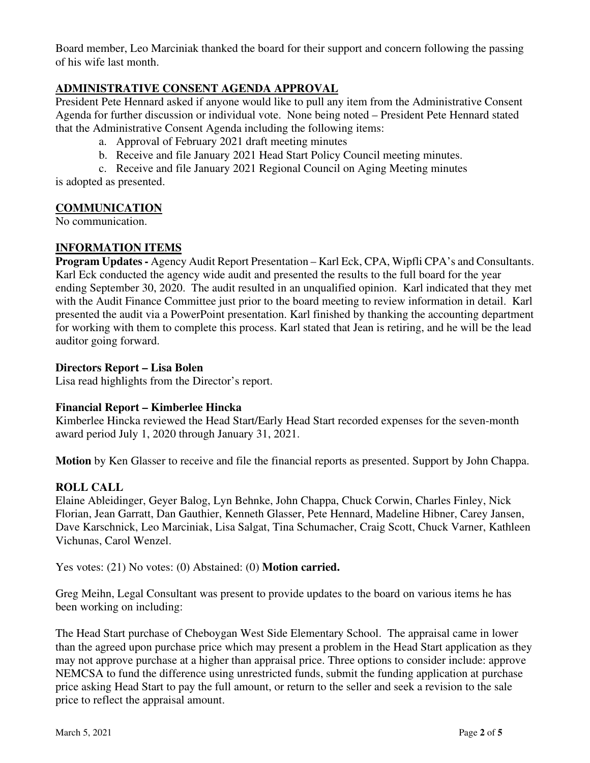Board member, Leo Marciniak thanked the board for their support and concern following the passing of his wife last month.

## **ADMINISTRATIVE CONSENT AGENDA APPROVAL**

President Pete Hennard asked if anyone would like to pull any item from the Administrative Consent Agenda for further discussion or individual vote. None being noted – President Pete Hennard stated that the Administrative Consent Agenda including the following items:

a. Approval of February 2021 draft meeting minutes

b. Receive and file January 2021 Head Start Policy Council meeting minutes.

c. Receive and file January 2021 Regional Council on Aging Meeting minutes is adopted as presented.

## **COMMUNICATION**

No communication.

## **INFORMATION ITEMS**

**Program Updates -** Agency Audit Report Presentation – Karl Eck, CPA, Wipfli CPA's and Consultants. Karl Eck conducted the agency wide audit and presented the results to the full board for the year ending September 30, 2020. The audit resulted in an unqualified opinion. Karl indicated that they met with the Audit Finance Committee just prior to the board meeting to review information in detail. Karl presented the audit via a PowerPoint presentation. Karl finished by thanking the accounting department for working with them to complete this process. Karl stated that Jean is retiring, and he will be the lead auditor going forward.

#### **Directors Report – Lisa Bolen**

Lisa read highlights from the Director's report.

### **Financial Report – Kimberlee Hincka**

Kimberlee Hincka reviewed the Head Start/Early Head Start recorded expenses for the seven-month award period July 1, 2020 through January 31, 2021.

**Motion** by Ken Glasser to receive and file the financial reports as presented. Support by John Chappa.

### **ROLL CALL**

Elaine Ableidinger, Geyer Balog, Lyn Behnke, John Chappa, Chuck Corwin, Charles Finley, Nick Florian, Jean Garratt, Dan Gauthier, Kenneth Glasser, Pete Hennard, Madeline Hibner, Carey Jansen, Dave Karschnick, Leo Marciniak, Lisa Salgat, Tina Schumacher, Craig Scott, Chuck Varner, Kathleen Vichunas, Carol Wenzel.

Yes votes: (21) No votes: (0) Abstained: (0) **Motion carried.**

Greg Meihn, Legal Consultant was present to provide updates to the board on various items he has been working on including:

The Head Start purchase of Cheboygan West Side Elementary School. The appraisal came in lower than the agreed upon purchase price which may present a problem in the Head Start application as they may not approve purchase at a higher than appraisal price. Three options to consider include: approve NEMCSA to fund the difference using unrestricted funds, submit the funding application at purchase price asking Head Start to pay the full amount, or return to the seller and seek a revision to the sale price to reflect the appraisal amount.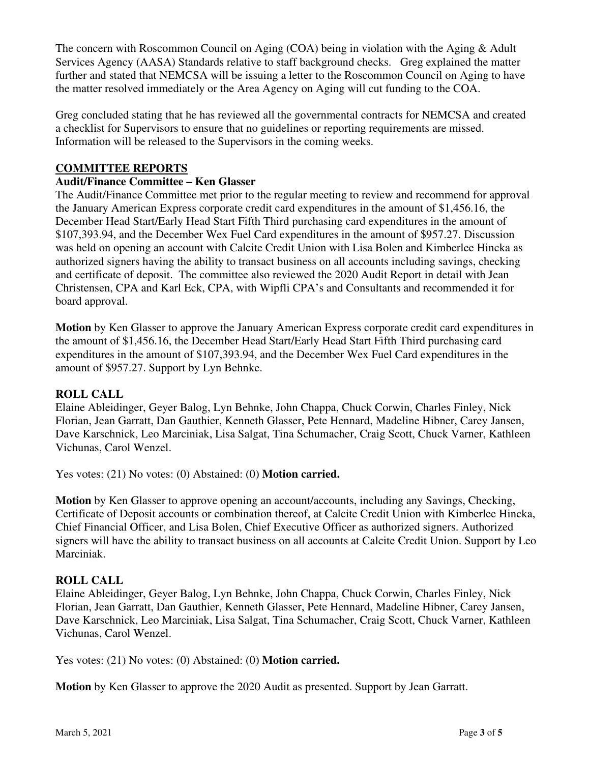The concern with Roscommon Council on Aging (COA) being in violation with the Aging & Adult Services Agency (AASA) Standards relative to staff background checks. Greg explained the matter further and stated that NEMCSA will be issuing a letter to the Roscommon Council on Aging to have the matter resolved immediately or the Area Agency on Aging will cut funding to the COA.

Greg concluded stating that he has reviewed all the governmental contracts for NEMCSA and created a checklist for Supervisors to ensure that no guidelines or reporting requirements are missed. Information will be released to the Supervisors in the coming weeks.

## **COMMITTEE REPORTS**

## **Audit/Finance Committee – Ken Glasser**

The Audit/Finance Committee met prior to the regular meeting to review and recommend for approval the January American Express corporate credit card expenditures in the amount of \$1,456.16, the December Head Start/Early Head Start Fifth Third purchasing card expenditures in the amount of \$107,393.94, and the December Wex Fuel Card expenditures in the amount of \$957.27. Discussion was held on opening an account with Calcite Credit Union with Lisa Bolen and Kimberlee Hincka as authorized signers having the ability to transact business on all accounts including savings, checking and certificate of deposit. The committee also reviewed the 2020 Audit Report in detail with Jean Christensen, CPA and Karl Eck, CPA, with Wipfli CPA's and Consultants and recommended it for board approval.

**Motion** by Ken Glasser to approve the January American Express corporate credit card expenditures in the amount of \$1,456.16, the December Head Start/Early Head Start Fifth Third purchasing card expenditures in the amount of \$107,393.94, and the December Wex Fuel Card expenditures in the amount of \$957.27. Support by Lyn Behnke.

### **ROLL CALL**

Elaine Ableidinger, Geyer Balog, Lyn Behnke, John Chappa, Chuck Corwin, Charles Finley, Nick Florian, Jean Garratt, Dan Gauthier, Kenneth Glasser, Pete Hennard, Madeline Hibner, Carey Jansen, Dave Karschnick, Leo Marciniak, Lisa Salgat, Tina Schumacher, Craig Scott, Chuck Varner, Kathleen Vichunas, Carol Wenzel.

Yes votes: (21) No votes: (0) Abstained: (0) **Motion carried.**

**Motion** by Ken Glasser to approve opening an account/accounts, including any Savings, Checking, Certificate of Deposit accounts or combination thereof, at Calcite Credit Union with Kimberlee Hincka, Chief Financial Officer, and Lisa Bolen, Chief Executive Officer as authorized signers. Authorized signers will have the ability to transact business on all accounts at Calcite Credit Union. Support by Leo Marciniak.

### **ROLL CALL**

Elaine Ableidinger, Geyer Balog, Lyn Behnke, John Chappa, Chuck Corwin, Charles Finley, Nick Florian, Jean Garratt, Dan Gauthier, Kenneth Glasser, Pete Hennard, Madeline Hibner, Carey Jansen, Dave Karschnick, Leo Marciniak, Lisa Salgat, Tina Schumacher, Craig Scott, Chuck Varner, Kathleen Vichunas, Carol Wenzel.

Yes votes: (21) No votes: (0) Abstained: (0) **Motion carried.** 

**Motion** by Ken Glasser to approve the 2020 Audit as presented. Support by Jean Garratt.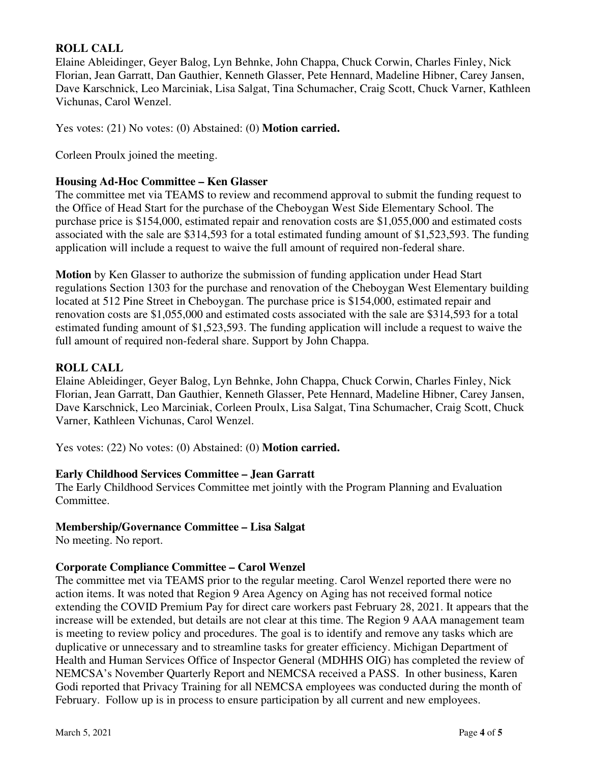# **ROLL CALL**

Elaine Ableidinger, Geyer Balog, Lyn Behnke, John Chappa, Chuck Corwin, Charles Finley, Nick Florian, Jean Garratt, Dan Gauthier, Kenneth Glasser, Pete Hennard, Madeline Hibner, Carey Jansen, Dave Karschnick, Leo Marciniak, Lisa Salgat, Tina Schumacher, Craig Scott, Chuck Varner, Kathleen Vichunas, Carol Wenzel.

Yes votes: (21) No votes: (0) Abstained: (0) **Motion carried.**

Corleen Proulx joined the meeting.

## **Housing Ad-Hoc Committee – Ken Glasser**

The committee met via TEAMS to review and recommend approval to submit the funding request to the Office of Head Start for the purchase of the Cheboygan West Side Elementary School. The purchase price is \$154,000, estimated repair and renovation costs are \$1,055,000 and estimated costs associated with the sale are \$314,593 for a total estimated funding amount of \$1,523,593. The funding application will include a request to waive the full amount of required non-federal share.

**Motion** by Ken Glasser to authorize the submission of funding application under Head Start regulations Section 1303 for the purchase and renovation of the Cheboygan West Elementary building located at 512 Pine Street in Cheboygan. The purchase price is \$154,000, estimated repair and renovation costs are \$1,055,000 and estimated costs associated with the sale are \$314,593 for a total estimated funding amount of \$1,523,593. The funding application will include a request to waive the full amount of required non-federal share. Support by John Chappa.

## **ROLL CALL**

Elaine Ableidinger, Geyer Balog, Lyn Behnke, John Chappa, Chuck Corwin, Charles Finley, Nick Florian, Jean Garratt, Dan Gauthier, Kenneth Glasser, Pete Hennard, Madeline Hibner, Carey Jansen, Dave Karschnick, Leo Marciniak, Corleen Proulx, Lisa Salgat, Tina Schumacher, Craig Scott, Chuck Varner, Kathleen Vichunas, Carol Wenzel.

Yes votes: (22) No votes: (0) Abstained: (0) **Motion carried.**

### **Early Childhood Services Committee – Jean Garratt**

The Early Childhood Services Committee met jointly with the Program Planning and Evaluation Committee.

## **Membership/Governance Committee – Lisa Salgat**

No meeting. No report.

## **Corporate Compliance Committee – Carol Wenzel**

The committee met via TEAMS prior to the regular meeting. Carol Wenzel reported there were no action items. It was noted that Region 9 Area Agency on Aging has not received formal notice extending the COVID Premium Pay for direct care workers past February 28, 2021. It appears that the increase will be extended, but details are not clear at this time. The Region 9 AAA management team is meeting to review policy and procedures. The goal is to identify and remove any tasks which are duplicative or unnecessary and to streamline tasks for greater efficiency. Michigan Department of Health and Human Services Office of Inspector General (MDHHS OIG) has completed the review of NEMCSA's November Quarterly Report and NEMCSA received a PASS. In other business, Karen Godi reported that Privacy Training for all NEMCSA employees was conducted during the month of February. Follow up is in process to ensure participation by all current and new employees.